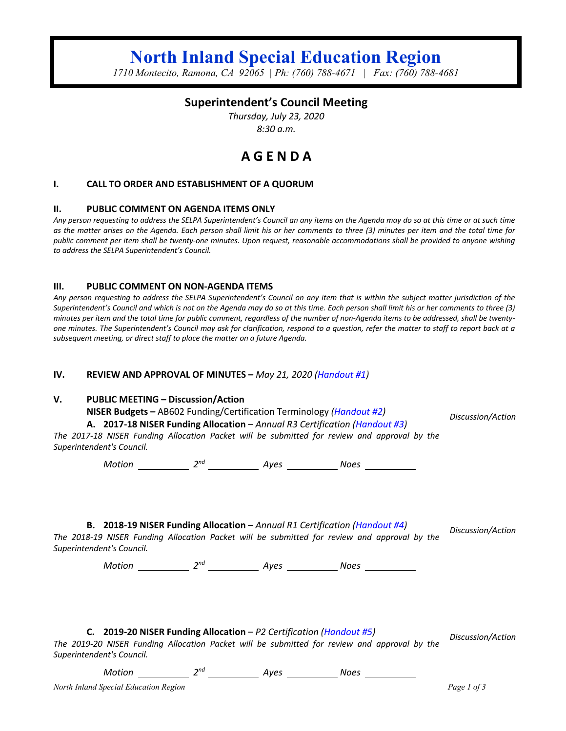# **North Inland Special Education Region**

*1710 Montecito, Ramona, CA 92065 | Ph: (760) 788-4671 | Fax: (760) 788-4681*

## **Superintendent's Council Meeting**

*Thursday, July 23, 2020 8:30 a.m.*

## **A G E N D A**

## **I. CALL TO ORDER AND ESTABLISHMENT OF A QUORUM**

### **II. PUBLIC COMMENT ON AGENDA ITEMS ONLY**

*Any person requesting to address the SELPA Superintendent's Council an any items on the Agenda may do so at this time or at such time as the matter arises on the Agenda. Each person shall limit his or her comments to three (3) minutes per item and the total time for public comment per item shall be twenty-one minutes. Upon request, reasonable accommodations shall be provided to anyone wishing to address the SELPA Superintendent's Council.*

#### **III. PUBLIC COMMENT ON NON-AGENDA ITEMS**

*Any person requesting to address the SELPA Superintendent's Council on any item that is within the subject matter jurisdiction of the Superintendent's Council and which is not on the Agenda may do so at this time. Each person shall limit his or her comments to three (3) minutes per item and the total time for public comment, regardless of the number of non-Agenda items to be addressed, shall be twentyone minutes. The Superintendent's Council may ask for clarification, respond to a question, refer the matter to staff to report back at a subsequent meeting, or direct staff to place the matter on a future Agenda.*

## **IV. REVIEW AND APPROVAL OF MINUTES –** *May 21, 2020 (Handout #1)*

## **V. PUBLIC MEETING – Discussion/Action**

**NISER Budgets –** AB602 Funding/Certification Terminology *(Handout #2)*

**A. 2017-18 NISER Funding Allocation** *– Annual R3 Certification (Handout #3)*

*The 2017-18 NISER Funding Allocation Packet will be submitted for review and approval by the Superintendent's Council.*

*Motion* 2<sup>nd</sup> 2<sup>nd</sup> 4yes 2008 2008

**B. 2018-19 NISER Funding Allocation** – *Annual R1 Certification (Handout #4)*

*The 2018-19 NISER Funding Allocation Packet will be submitted for review and approval by the Superintendent's Council.*

*Motion* 2<sup>nd</sup> 2<sup>nd</sup> 4yes 2008 Noes 2008

**C. 2019-20 NISER Funding Allocation** – *P2 Certification (Handout #5)*

*Discussion/Action*

*Discussion/Action*

*Discussion/Action*

*The 2019-20 NISER Funding Allocation Packet will be submitted for review and approval by the Superintendent's Council.*

*Motion* 2<sup>nd</sup> 2<sup>nd</sup> Ayes 2008 2008

*North Inland Special Education Region Page 1 of 3*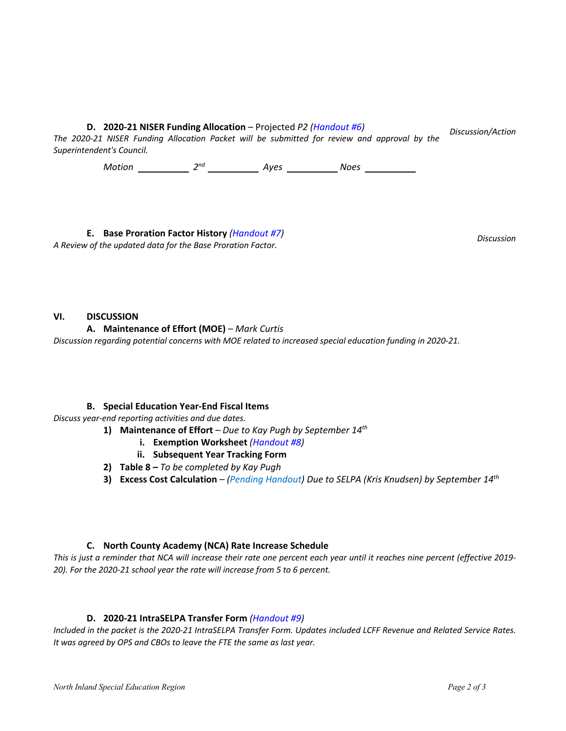**D. 2020-21 NISER Funding Allocation** – Projected *P2 (Handout #6)*

*The 2020-21 NISER Funding Allocation Packet will be submitted for review and approval by the Superintendent's Council. Discussion/Action*

*Motion* 2<sup>nd</sup> 2<sup>nd</sup> 4yes 2008 Noes 2008

**E. Base Proration Factor History** *(Handout #7)*

*A Review of the updated data for the Base Proration Factor.*

*Discussion*

## **VI. DISCUSSION**

**A. Maintenance of Effort (MOE)** – *Mark Curtis*

*Discussion regarding potential concerns with MOE related to increased special education funding in 2020-21.*

## **B. Special Education Year-End Fiscal Items**

*Discuss year-end reporting activities and due dates.* 

- **1) Maintenance of Effort** *– Due to Kay Pugh by September 14th*
	- **i. Exemption Worksheet** *(Handout #8)*
	- **ii. Subsequent Year Tracking Form**
- **2) Table 8 –** *To be completed by Kay Pugh*
- **3) Excess Cost Calculation** *– (Pending Handout) Due to SELPA (Kris Knudsen) by September 14th*

## **C. North County Academy (NCA) Rate Increase Schedule**

*This is just a reminder that NCA will increase their rate one percent each year until it reaches nine percent (effective 2019- 20). For the 2020-21 school year the rate will increase from 5 to 6 percent.*

## **D. 2020-21 IntraSELPA Transfer Form** *(Handout #9)*

*Included in the packet is the 2020-21 IntraSELPA Transfer Form. Updates included LCFF Revenue and Related Service Rates. It was agreed by OPS and CBOs to leave the FTE the same as last year.*